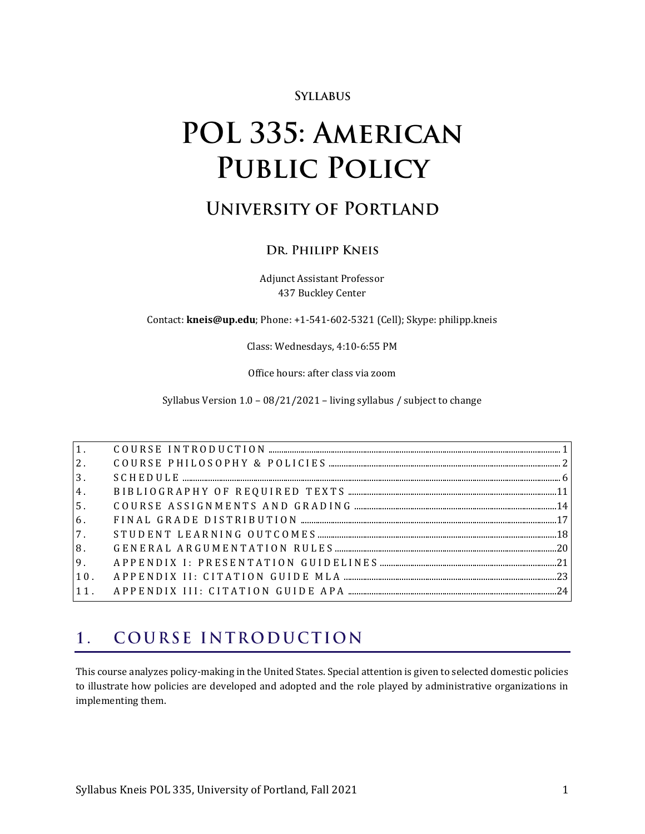# **SYLLABUS**

# POL 335: AMERICAN **PUBLIC POLICY**

# **UNIVERSITY OF PORTLAND**

# DR. PHILIPP KNEIS

Adjunct Assistant Professor 437 Buckley Center

Contact: **kneis@up.edu**; Phone: +1-541-602-5321 (Cell); Skype: philipp.kneis

Class: Wednesdays, 4:10-6:55 PM

Office hours: after class via zoom

Syllabus Version 1.0 – 08/21/2021 – living syllabus / subject to change

| 2.             |  |
|----------------|--|
| 3 <sub>1</sub> |  |
| 4.             |  |
| 5 <sub>1</sub> |  |
| 6.             |  |
| 7.             |  |
| 8.             |  |
|                |  |
| 10.            |  |
|                |  |

#### <span id="page-0-0"></span>COURSE INTRODUCTION  $\mathbf{1}$ .

This course analyzes policy-making in the United States. Special attention is given to selected domestic policies to illustrate how policies are developed and adopted and the role played by administrative organizations in implementing them.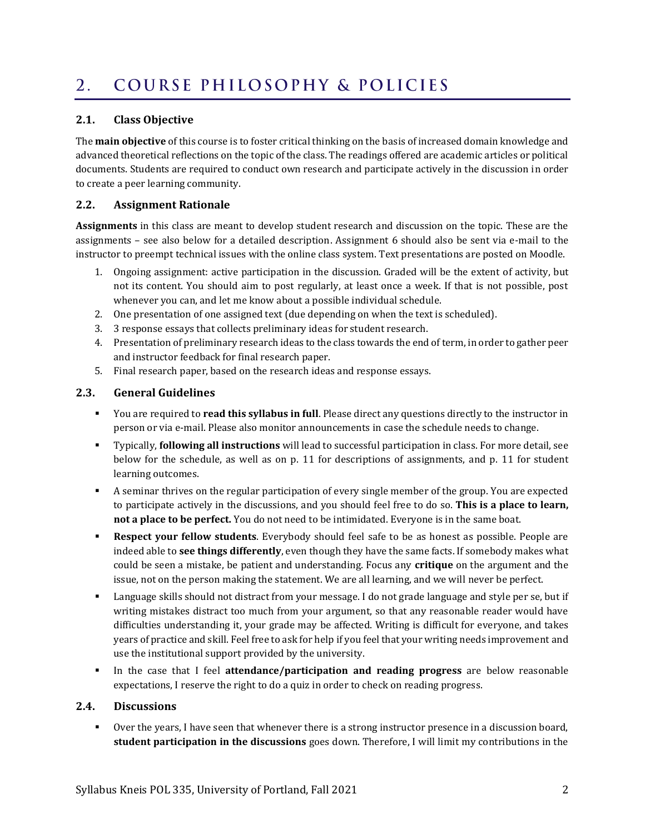#### <span id="page-1-0"></span>COURSE PHILOSOPHY & POLICIES  $2.$

# **2.1. Class Objective**

The **main objective** of this course is to foster critical thinking on the basis of increased domain knowledge and advanced theoretical reflections on the topic of the class. The readings offered are academic articles or political documents. Students are required to conduct own research and participate actively in the discussion in order to create a peer learning community.

# **2.2. Assignment Rationale**

**Assignments** in this class are meant to develop student research and discussion on the topic. These are the assignments – see also below for a detailed description. Assignment 6 should also be sent via e-mail to the instructor to preempt technical issues with the online class system. Text presentations are posted on Moodle.

- 1. Ongoing assignment: active participation in the discussion. Graded will be the extent of activity, but not its content. You should aim to post regularly, at least once a week. If that is not possible, post whenever you can, and let me know about a possible individual schedule.
- 2. One presentation of one assigned text (due depending on when the text is scheduled).
- 3. 3 response essays that collects preliminary ideas for student research.
- 4. Presentation of preliminary research ideas to the class towards the end of term, in order to gather peer and instructor feedback for final research paper.
- 5. Final research paper, based on the research ideas and response essays.

# **2.3. General Guidelines**

- You are required to **read this syllabus in full**. Please direct any questions directly to the instructor in person or via e-mail. Please also monitor announcements in case the schedule needs to change.
- Typically, **following all instructions** will lead to successful participation in class. For more detail, see below for the schedule, as well as on p. [11](#page-10-1) for descriptions of assignments, and p. [11](#page-10-1) for student learning outcomes.
- A seminar thrives on the regular participation of every single member of the group. You are expected to participate actively in the discussions, and you should feel free to do so. **This is a place to learn, not a place to be perfect.** You do not need to be intimidated. Everyone is in the same boat.
- **Respect your fellow students**. Everybody should feel safe to be as honest as possible. People are indeed able to **see things differently**, even though they have the same facts. If somebody makes what could be seen a mistake, be patient and understanding. Focus any **critique** on the argument and the issue, not on the person making the statement. We are all learning, and we will never be perfect.
- Language skills should not distract from your message. I do not grade language and style per se, but if writing mistakes distract too much from your argument, so that any reasonable reader would have difficulties understanding it, your grade may be affected. Writing is difficult for everyone, and takes years of practice and skill. Feel free to ask for help if you feel that your writing needs improvement and use the institutional support provided by the university.
- In the case that I feel **attendance/participation and reading progress** are below reasonable expectations, I reserve the right to do a quiz in order to check on reading progress.

# **2.4. Discussions**

▪ Over the years, I have seen that whenever there is a strong instructor presence in a discussion board, **student participation in the discussions** goes down. Therefore, I will limit my contributions in the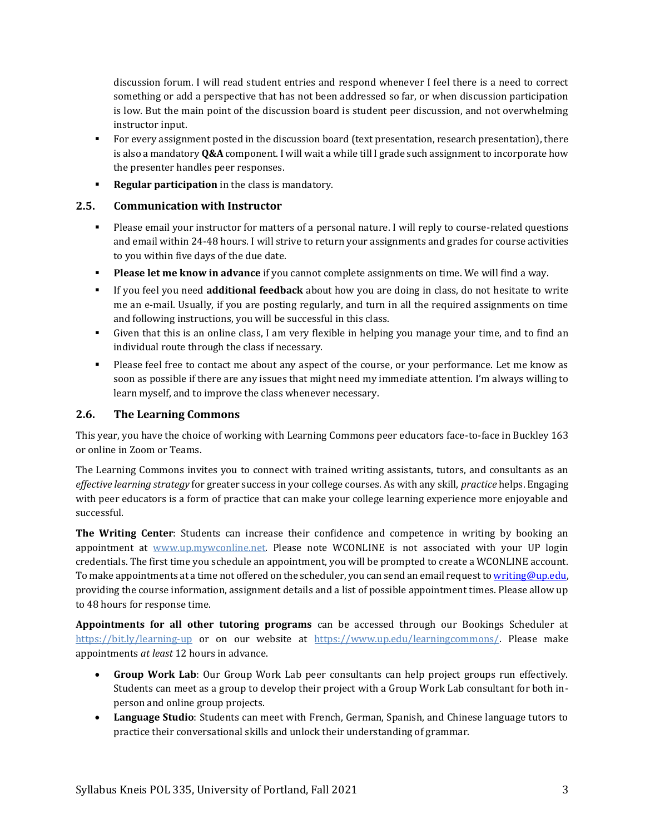discussion forum. I will read student entries and respond whenever I feel there is a need to correct something or add a perspective that has not been addressed so far, or when discussion participation is low. But the main point of the discussion board is student peer discussion, and not overwhelming instructor input.

- For every assignment posted in the discussion board (text presentation, research presentation), there is also a mandatory **Q&A** component. I will wait a while till I grade such assignment to incorporate how the presenter handles peer responses.
- **Regular participation** in the class is mandatory.

# **2.5. Communication with Instructor**

- Please email your instructor for matters of a personal nature. I will reply to course-related questions and email within 24-48 hours. I will strive to return your assignments and grades for course activities to you within five days of the due date.
- **Please let me know in advance** if you cannot complete assignments on time. We will find a way.
- If you feel you need **additional feedback** about how you are doing in class, do not hesitate to write me an e-mail. Usually, if you are posting regularly, and turn in all the required assignments on time and following instructions, you will be successful in this class.
- Given that this is an online class, I am very flexible in helping you manage your time, and to find an individual route through the class if necessary.
- Please feel free to contact me about any aspect of the course, or your performance. Let me know as soon as possible if there are any issues that might need my immediate attention. I'm always willing to learn myself, and to improve the class whenever necessary.

# **2.6. The Learning Commons**

This year, you have the choice of working with Learning Commons peer educators face-to-face in Buckley 163 or online in Zoom or Teams.

The Learning Commons invites you to connect with trained writing assistants, tutors, and consultants as an *effective learning strategy* for greater success in your college courses. As with any skill, *practice* helps. Engaging with peer educators is a form of practice that can make your college learning experience more enjoyable and successful.

**The Writing Center**: Students can increase their confidence and competence in writing by booking an appointment at [www.up.mywconline.net.](http://www.up.mywconline.net/) Please note WCONLINE is not associated with your UP login credentials. The first time you schedule an appointment, you will be prompted to create a WCONLINE account. To make appointments at a time not offered on the scheduler, you can send an email request t[o writing@up.edu,](mailto:writing@up.edu) providing the course information, assignment details and a list of possible appointment times. Please allow up to 48 hours for response time.

**Appointments for all other tutoring programs** can be accessed through our Bookings Scheduler at <https://bit.ly/learning-up> or on our website at [https://www.up.edu/learningcommons/.](https://www.up.edu/learningcommons/) Please make appointments *at least* 12 hours in advance.

- **Group Work Lab**: Our Group Work Lab peer consultants can help project groups run effectively. Students can meet as a group to develop their project with a Group Work Lab consultant for both inperson and online group projects.
- **Language Studio**: Students can meet with French, German, Spanish, and Chinese language tutors to practice their conversational skills and unlock their understanding of grammar.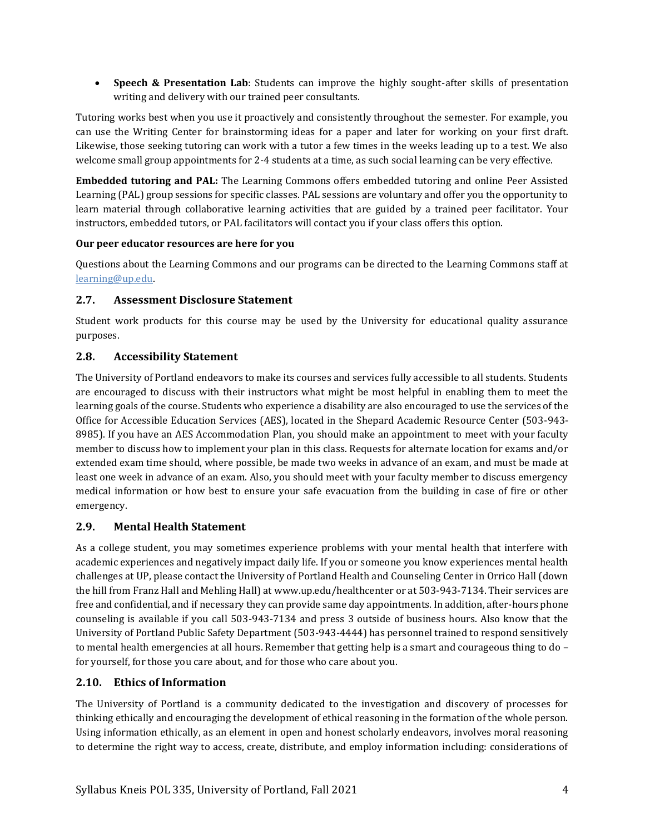• **Speech & Presentation Lab**: Students can improve the highly sought-after skills of presentation writing and delivery with our trained peer consultants.

Tutoring works best when you use it proactively and consistently throughout the semester. For example, you can use the Writing Center for brainstorming ideas for a paper and later for working on your first draft. Likewise, those seeking tutoring can work with a tutor a few times in the weeks leading up to a test. We also welcome small group appointments for 2-4 students at a time, as such social learning can be very effective.

**Embedded tutoring and PAL:** The Learning Commons offers embedded tutoring and online Peer Assisted Learning (PAL) group sessions for specific classes. PAL sessions are voluntary and offer you the opportunity to learn material through collaborative learning activities that are guided by a trained peer facilitator. Your instructors, embedded tutors, or PAL facilitators will contact you if your class offers this option.

# **Our peer educator resources are here for you**

Questions about the Learning Commons and our programs can be directed to the Learning Commons staff at [learning@up.edu.](mailto:learning@up.edu) 

# **2.7. Assessment Disclosure Statement**

Student work products for this course may be used by the University for educational quality assurance purposes.

# **2.8. Accessibility Statement**

The University of Portland endeavors to make its courses and services fully accessible to all students. Students are encouraged to discuss with their instructors what might be most helpful in enabling them to meet the learning goals of the course. Students who experience a disability are also encouraged to use the services of the Office for Accessible Education Services (AES), located in the Shepard Academic Resource Center (503-943- 8985). If you have an AES Accommodation Plan, you should make an appointment to meet with your faculty member to discuss how to implement your plan in this class. Requests for alternate location for exams and/or extended exam time should, where possible, be made two weeks in advance of an exam, and must be made at least one week in advance of an exam. Also, you should meet with your faculty member to discuss emergency medical information or how best to ensure your safe evacuation from the building in case of fire or other emergency.

# **2.9. Mental Health Statement**

As a college student, you may sometimes experience problems with your mental health that interfere with academic experiences and negatively impact daily life. If you or someone you know experiences mental health challenges at UP, please contact the University of Portland Health and Counseling Center in Orrico Hall (down the hill from Franz Hall and Mehling Hall) a[t www.up.edu/healthcenter](http://www.up.edu/healthcenter) or at 503-943-7134. Their services are free and confidential, and if necessary they can provide same day appointments. In addition, after-hours phone counseling is available if you call 503-943-7134 and press 3 outside of business hours. Also know that the University of Portland Public Safety Department (503-943-4444) has personnel trained to respond sensitively to mental health emergencies at all hours. Remember that getting help is a smart and courageous thing to do – for yourself, for those you care about, and for those who care about you.

# **2.10. Ethics of Information**

The University of Portland is a community dedicated to the investigation and discovery of processes for thinking ethically and encouraging the development of ethical reasoning in the formation of the whole person. Using information ethically, as an element in open and honest scholarly endeavors, involves moral reasoning to determine the right way to access, create, distribute, and employ information including: considerations of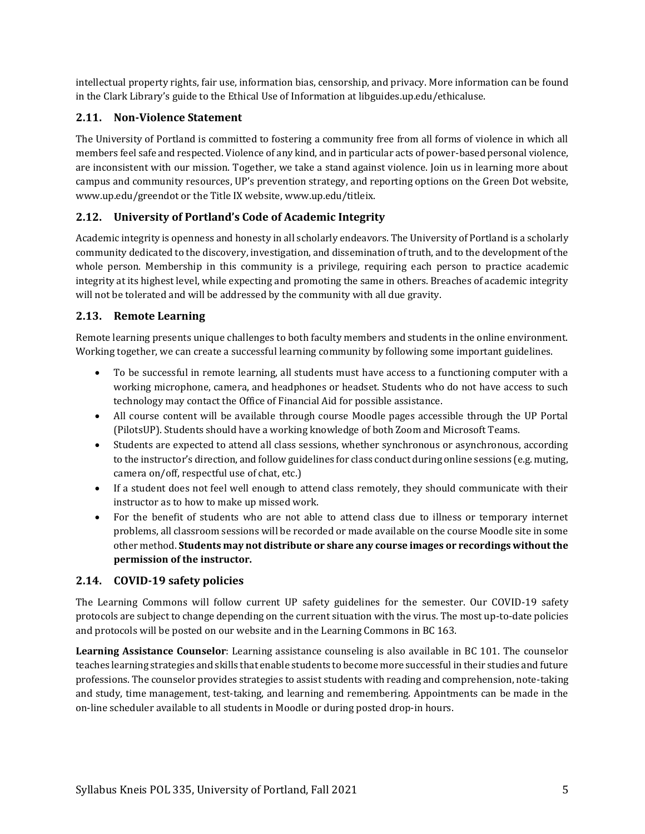intellectual property rights, fair use, information bias, censorship, and privacy. More information can be found in the Clark Library's guide to the [Ethical Use of Information](https://libguides.up.edu/ethicaluse/) at [libguides.up.edu/ethicaluse.](https://libguides.up.edu/ethicaluse/)

# **2.11. Non-Violence Statement**

The University of Portland is committed to fostering a community free from all forms of violence in which all members feel safe and respected. Violence of any kind, and in particular acts of power-based personal violence, are inconsistent with our mission. Together, we take a stand against violence. Join us in learning more about campus and community resources, UP's prevention strategy, and reporting options on the [Green Dot website,](https://www.up.edu/greendot/) [www.up.edu/greendot](https://www.up.edu/greendot/) or the [Title IX website,](https://www.up.edu/titleix/) [www.up.edu/titleix.](https://www.up.edu/titleix/)

# **2.12. University of Portland's Code of Academic Integrity**

Academic integrity is openness and honesty in all scholarly endeavors. The University of Portland is a scholarly community dedicated to the discovery, investigation, and dissemination of truth, and to the development of the whole person. Membership in this community is a privilege, requiring each person to practice academic integrity at its highest level, while expecting and promoting the same in others. Breaches of academic integrity will not be tolerated and will be addressed by the community with all due gravity.

# **2.13. Remote Learning**

Remote learning presents unique challenges to both faculty members and students in the online environment. Working together, we can create a successful learning community by following some important guidelines.

- To be successful in remote learning, all students must have access to a functioning computer with a working microphone, camera, and headphones or headset. Students who do not have access to such technology may contact the Office of Financial Aid for possible assistance.
- All course content will be available through course Moodle pages accessible through the UP Portal (PilotsUP). Students should have a working knowledge of both Zoom and Microsoft Teams.
- Students are expected to attend all class sessions, whether synchronous or asynchronous, according to the instructor's direction, and follow guidelines for class conduct during online sessions (e.g. muting, camera on/off, respectful use of chat, etc.)
- If a student does not feel well enough to attend class remotely, they should communicate with their instructor as to how to make up missed work.
- For the benefit of students who are not able to attend class due to illness or temporary internet problems, all classroom sessions will be recorded or made available on the course Moodle site in some other method. **Students may not distribute or share any course images or recordings without the permission of the instructor.**

# **2.14. COVID-19 safety policies**

The Learning Commons will follow current UP safety guidelines for the semester. Our COVID-19 safety protocols are subject to change depending on the current situation with the virus. The most up-to-date policies and protocols will be posted on our website and in the Learning Commons in BC 163.

**Learning Assistance Counselor**: Learning assistance counseling is also available in BC 101. The counselor teaches learning strategies and skills that enable students to become more successful in their studies and future professions. The counselor provides strategies to assist students with reading and comprehension, note-taking and study, time management, test-taking, and learning and remembering. Appointments can be made in the on-line scheduler available to all students in Moodle or during posted drop-in hours.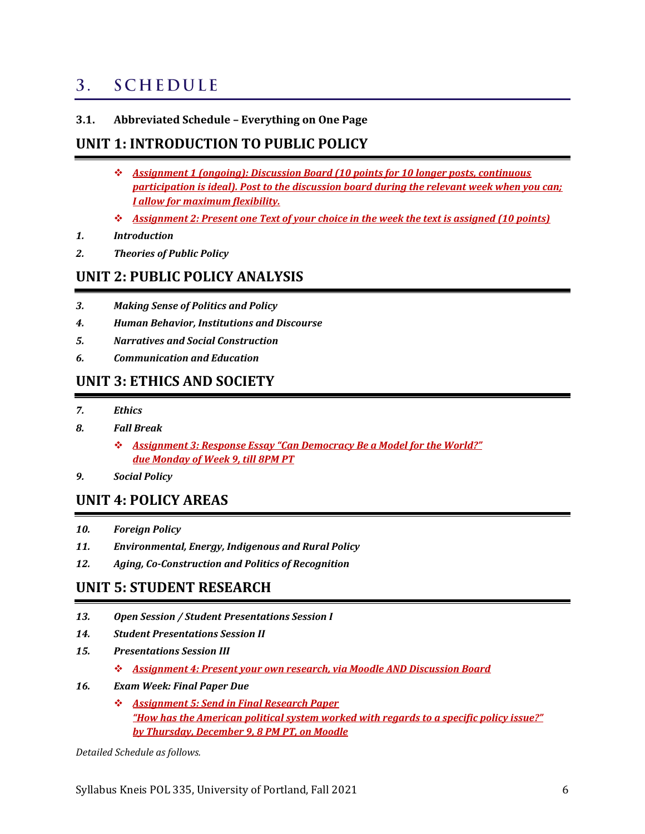#### <span id="page-5-0"></span>**SCHEDULE**  $3<sub>1</sub>$

# **3.1. Abbreviated Schedule – Everything on One Page**

# **UNIT 1: INTRODUCTION TO PUBLIC POLICY**

- ❖ *Assignment 1 (ongoing): Discussion Board (10 points for 10 longer posts, continuous participation is ideal). Post to the discussion board during the relevant week when you can; I allow for maximum flexibility.*
- ❖ *Assignment 2: Present one Text of your choice in the week the text is assigned (10 points)*
- *1. Introduction*
- *2. Theories of Public Policy*

# **UNIT 2: PUBLIC POLICY ANALYSIS**

- *3. Making Sense of Politics and Policy*
- *4. Human Behavior, Institutions and Discourse*
- *5. Narratives and Social Construction*
- *6. Communication and Education*

# **UNIT 3: ETHICS AND SOCIETY**

- *7. Ethics*
- *8. Fall Break*
	- ❖ *Assignment 3: Response Essay "Can Democracy Be a Model for the World?" due Monday of Week 9, till 8PM PT*
- *9. Social Policy*

# **UNIT 4: POLICY AREAS**

- *10. Foreign Policy*
- *11. Environmental, Energy, Indigenous and Rural Policy*
- *12. Aging, Co-Construction and Politics of Recognition*

# **UNIT 5: STUDENT RESEARCH**

- *13. Open Session / Student Presentations Session I*
- *14. Student Presentations Session II*
- *15. Presentations Session III*
	- ❖ *Assignment 4: Present your own research, via Moodle AND Discussion Board*
- *16. Exam Week: Final Paper Due*
	- ❖ *Assignment 5: Send in Final Research Paper "How has the American political system worked with regards to a specific policy issue?" by Thursday, December 9, 8 PM PT, on Moodle*

*Detailed Schedule as follows.*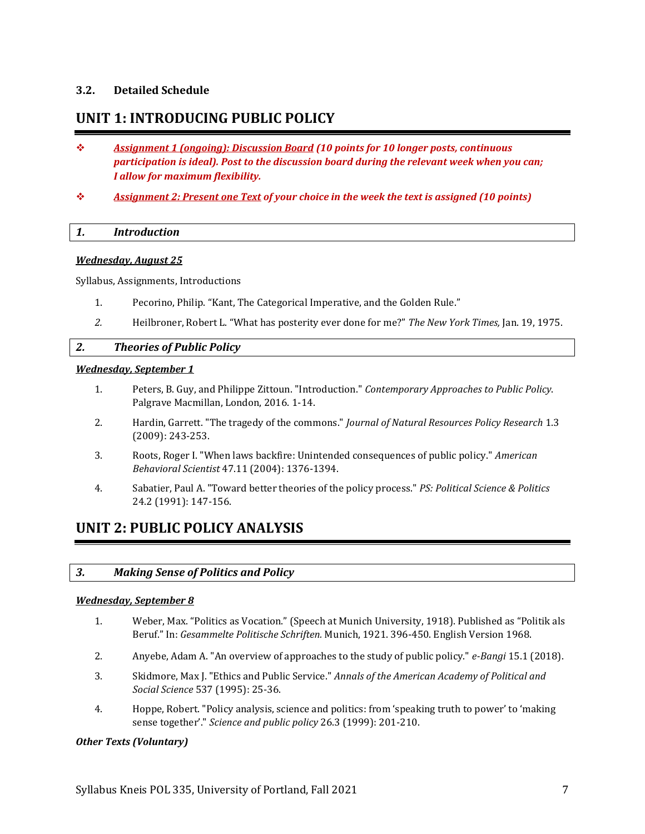# **3.2. Detailed Schedule**

# **UNIT 1: INTRODUCING PUBLIC POLICY**

- ❖ *Assignment 1 (ongoing): Discussion Board (10 points for 10 longer posts, continuous participation is ideal). Post to the discussion board during the relevant week when you can; I allow for maximum flexibility.*
- ❖ *Assignment 2: Present one Text of your choice in the week the text is assigned (10 points)*

# *1. Introduction*

### *Wednesday, August 25*

Syllabus, Assignments, Introductions

- 1. Pecorino, Philip. "Kant, The Categorical Imperative, and the Golden Rule."
- *2.* Heilbroner, Robert L. "What has posterity ever done for me?" *The New York Times,* Jan. 19, 1975.

# *2. Theories of Public Policy*

#### *Wednesday, September 1*

- 1. Peters, B. Guy, and Philippe Zittoun. "Introduction." *Contemporary Approaches to Public Policy*. Palgrave Macmillan, London, 2016. 1-14.
- 2. Hardin, Garrett. "The tragedy of the commons." *Journal of Natural Resources Policy Research* 1.3 (2009): 243-253.
- 3. Roots, Roger I. "When laws backfire: Unintended consequences of public policy." *American Behavioral Scientist* 47.11 (2004): 1376-1394.
- 4. Sabatier, Paul A. "Toward better theories of the policy process." *PS: Political Science & Politics* 24.2 (1991): 147-156.

# **UNIT 2: PUBLIC POLICY ANALYSIS**

# *3. Making Sense of Politics and Policy*

#### *Wednesday, September 8*

- 1. Weber, Max. "Politics as Vocation." (Speech at Munich University, 1918). Published as "Politik als Beruf." In: *Gesammelte Politische Schriften.* Munich, 1921. 396-450. English Version 1968.
- 2. Anyebe, Adam A. "An overview of approaches to the study of public policy." *e-Bangi* 15.1 (2018).
- 3. Skidmore, Max J. "Ethics and Public Service." *Annals of the American Academy of Political and Social Science* 537 (1995): 25-36.
- 4. Hoppe, Robert. "Policy analysis, science and politics: from 'speaking truth to power' to 'making sense together'." *Science and public policy* 26.3 (1999): 201-210.

# *Other Texts (Voluntary)*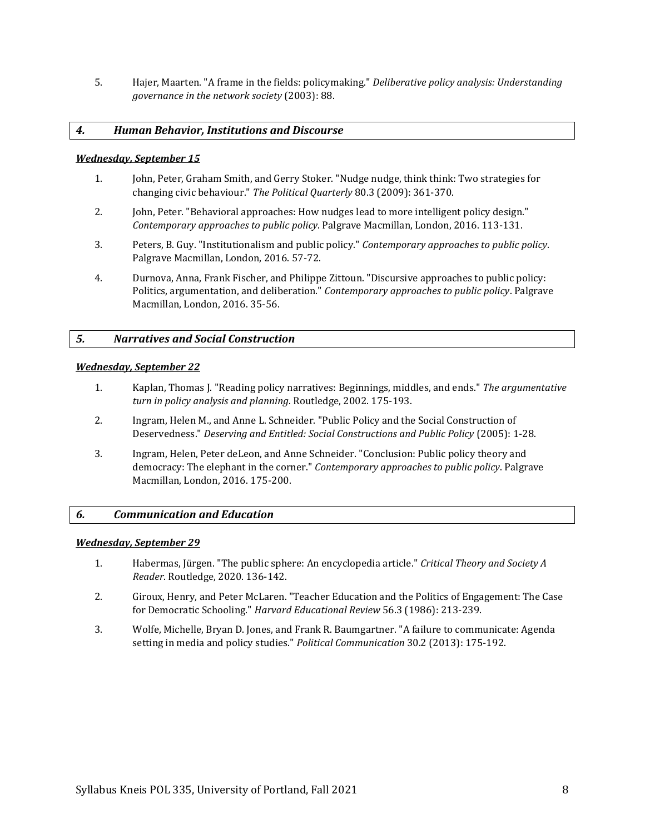5. Hajer, Maarten. "A frame in the fields: policymaking." *Deliberative policy analysis: Understanding governance in the network society* (2003): 88.

## *4. Human Behavior, Institutions and Discourse*

#### *Wednesday, September 15*

- 1. John, Peter, Graham Smith, and Gerry Stoker. "Nudge nudge, think think: Two strategies for changing civic behaviour." *The Political Quarterly* 80.3 (2009): 361-370.
- 2. John, Peter. "Behavioral approaches: How nudges lead to more intelligent policy design." *Contemporary approaches to public policy*. Palgrave Macmillan, London, 2016. 113-131.
- 3. Peters, B. Guy. "Institutionalism and public policy." *Contemporary approaches to public policy*. Palgrave Macmillan, London, 2016. 57-72.
- 4. Durnova, Anna, Frank Fischer, and Philippe Zittoun. "Discursive approaches to public policy: Politics, argumentation, and deliberation." *Contemporary approaches to public policy*. Palgrave Macmillan, London, 2016. 35-56.

### *5. Narratives and Social Construction*

#### *Wednesday, September 22*

- 1. Kaplan, Thomas J. "Reading policy narratives: Beginnings, middles, and ends." *The argumentative turn in policy analysis and planning*. Routledge, 2002. 175-193.
- 2. Ingram, Helen M., and Anne L. Schneider. "Public Policy and the Social Construction of Deservedness." *Deserving and Entitled: Social Constructions and Public Policy* (2005): 1-28.
- 3. Ingram, Helen, Peter deLeon, and Anne Schneider. "Conclusion: Public policy theory and democracy: The elephant in the corner." *Contemporary approaches to public policy*. Palgrave Macmillan, London, 2016. 175-200.

#### *6. Communication and Education*

#### *Wednesday, September 29*

- 1. Habermas, Jürgen. "The public sphere: An encyclopedia article." *Critical Theory and Society A Reader*. Routledge, 2020. 136-142.
- 2. Giroux, Henry, and Peter McLaren. "Teacher Education and the Politics of Engagement: The Case for Democratic Schooling." *Harvard Educational Review* 56.3 (1986): 213-239.
- 3. Wolfe, Michelle, Bryan D. Jones, and Frank R. Baumgartner. "A failure to communicate: Agenda setting in media and policy studies." *Political Communication* 30.2 (2013): 175-192.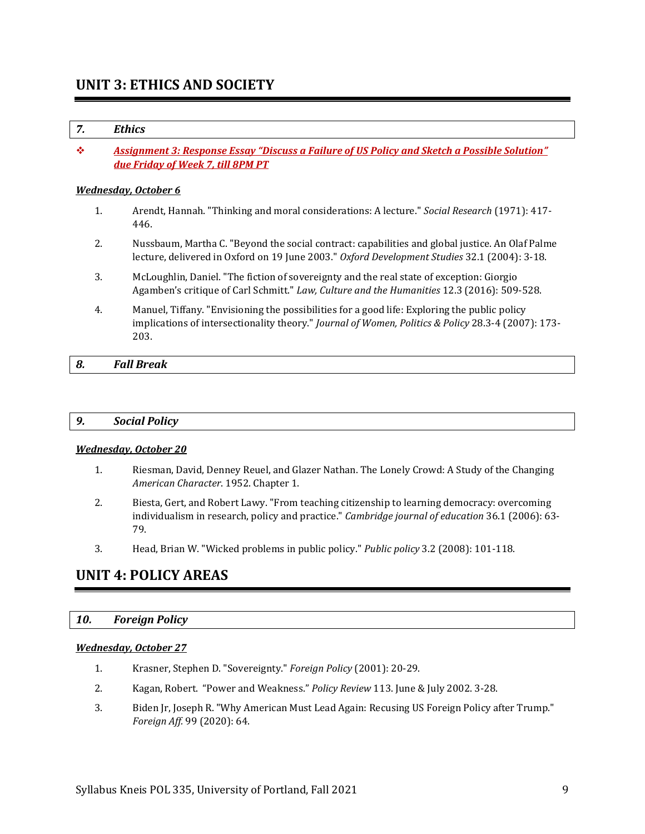# **UNIT 3: ETHICS AND SOCIETY**

# *7. Ethics*

❖ *Assignment 3: Response Essay "Discuss a Failure of US Policy and Sketch a Possible Solution" due Friday of Week 7, till 8PM PT*

#### *Wednesday, October 6*

- 1. Arendt, Hannah. "Thinking and moral considerations: A lecture." *Social Research* (1971): 417- 446.
- 2. Nussbaum, Martha C. "Beyond the social contract: capabilities and global justice. An Olaf Palme lecture, delivered in Oxford on 19 June 2003." *Oxford Development Studies* 32.1 (2004): 3-18.
- 3. McLoughlin, Daniel. "The fiction of sovereignty and the real state of exception: Giorgio Agamben's critique of Carl Schmitt." *Law, Culture and the Humanities* 12.3 (2016): 509-528.
- 4. Manuel, Tiffany. "Envisioning the possibilities for a good life: Exploring the public policy implications of intersectionality theory." *Journal of Women, Politics & Policy* 28.3-4 (2007): 173- 203.

# *8. Fall Break*

# *9. Social Policy*

#### *Wednesday, October 20*

- 1. Riesman, David, Denney Reuel, and Glazer Nathan. The Lonely Crowd: A Study of the Changing *American Character*. 1952. Chapter 1.
- 2. Biesta, Gert, and Robert Lawy. "From teaching citizenship to learning democracy: overcoming individualism in research, policy and practice." *Cambridge journal of education* 36.1 (2006): 63- 79.
- 3. Head, Brian W. "Wicked problems in public policy." *Public policy* 3.2 (2008): 101-118.

# **UNIT 4: POLICY AREAS**

#### *10. Foreign Policy*

#### *Wednesday, October 27*

- 1. Krasner, Stephen D. "Sovereignty." *Foreign Policy* (2001): 20-29.
- 2. Kagan, Robert. "Power and Weakness." *Policy Review* 113. June & July 2002. 3-28.
- 3. Biden Jr, Joseph R. "Why American Must Lead Again: Recusing US Foreign Policy after Trump." *Foreign Aff.* 99 (2020): 64.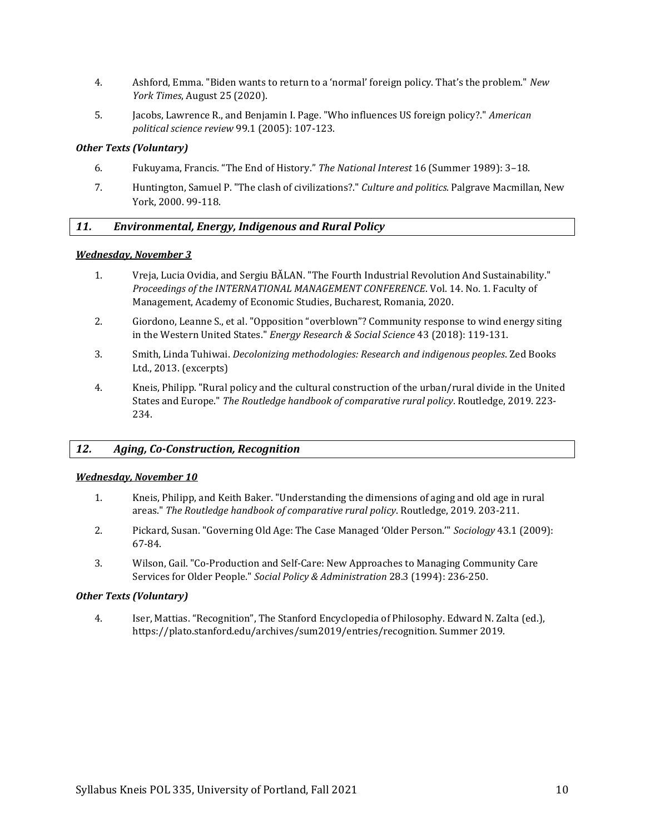- 4. Ashford, Emma. "Biden wants to return to a 'normal' foreign policy. That's the problem." *New York Times*, August 25 (2020).
- 5. Jacobs, Lawrence R., and Benjamin I. Page. "Who influences US foreign policy?." *American political science review* 99.1 (2005): 107-123.

### *Other Texts (Voluntary)*

- 6. Fukuyama, Francis. "The End of History." *The National Interest* 16 (Summer 1989): 3–18.
- 7. Huntington, Samuel P. "The clash of civilizations?." *Culture and politics*. Palgrave Macmillan, New York, 2000. 99-118.

# *11. Environmental, Energy, Indigenous and Rural Policy*

### *Wednesday, November 3*

- 1. Vreja, Lucia Ovidia, and Sergiu BĂLAN. "The Fourth Industrial Revolution And Sustainability." *Proceedings of the INTERNATIONAL MANAGEMENT CONFERENCE*. Vol. 14. No. 1. Faculty of Management, Academy of Economic Studies, Bucharest, Romania, 2020.
- 2. Giordono, Leanne S., et al. "Opposition "overblown"? Community response to wind energy siting in the Western United States." *Energy Research & Social Science* 43 (2018): 119-131.
- 3. Smith, Linda Tuhiwai. *Decolonizing methodologies: Research and indigenous peoples*. Zed Books Ltd., 2013. (excerpts)
- 4. Kneis, Philipp. "Rural policy and the cultural construction of the urban/rural divide in the United States and Europe." *The Routledge handbook of comparative rural policy*. Routledge, 2019. 223- 234.

# *12. Aging, Co-Construction, Recognition*

#### *Wednesday, November 10*

- 1. Kneis, Philipp, and Keith Baker. "Understanding the dimensions of aging and old age in rural areas." *The Routledge handbook of comparative rural policy*. Routledge, 2019. 203-211.
- 2. Pickard, Susan. "Governing Old Age: The Case Managed 'Older Person.'" *Sociology* 43.1 (2009): 67-84.
- 3. Wilson, Gail. "Co‐Production and Self‐Care: New Approaches to Managing Community Care Services for Older People." *Social Policy & Administration* 28.3 (1994): 236-250.

# *Other Texts (Voluntary)*

4. Iser, Mattias. "Recognition", The Stanford Encyclopedia of Philosophy. Edward N. Zalta (ed.), https://plato.stanford.edu/archives/sum2019/entries/recognition. Summer 2019.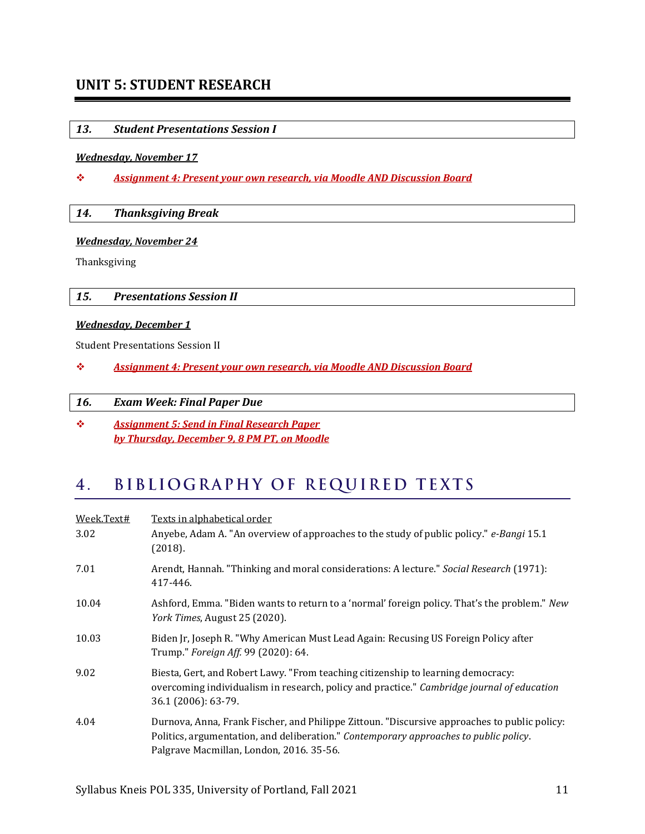# **UNIT 5: STUDENT RESEARCH**

# *13. Student Presentations Session I*

#### *Wednesday, November 17*

❖ *Assignment 4: Present your own research, via Moodle AND Discussion Board*

#### *14. Thanksgiving Break*

#### *Wednesday, November 24*

Thanksgiving

# *15. Presentations Session II*

#### *Wednesday, December 1*

Student Presentations Session II

❖ *Assignment 4: Present your own research, via Moodle AND Discussion Board*

#### *16. Exam Week: Final Paper Due*

❖ *Assignment 5: Send in Final Research Paper by Thursday, December 9, 8 PM PT, on Moodle*

#### <span id="page-10-0"></span>BIBLIOGRAPHY OF REQUIRED TEXTS  $4.$

<span id="page-10-1"></span>

| Week.Text# | <u>Texts in alphabetical order</u>                                                                                                                                                                                                |
|------------|-----------------------------------------------------------------------------------------------------------------------------------------------------------------------------------------------------------------------------------|
| 3.02       | Anyebe, Adam A. "An overview of approaches to the study of public policy." e-Bangi 15.1<br>(2018).                                                                                                                                |
| 7.01       | Arendt, Hannah. "Thinking and moral considerations: A lecture." Social Research (1971):<br>417-446.                                                                                                                               |
| 10.04      | Ashford, Emma. "Biden wants to return to a 'normal' foreign policy. That's the problem." New<br>York Times, August 25 (2020).                                                                                                     |
| 10.03      | Biden Jr, Joseph R. "Why American Must Lead Again: Recusing US Foreign Policy after<br>Trump." <i>Foreign Aff.</i> 99 (2020): 64.                                                                                                 |
| 9.02       | Biesta, Gert, and Robert Lawy. "From teaching citizenship to learning democracy:<br>overcoming individualism in research, policy and practice." Cambridge journal of education<br>36.1 (2006): 63-79.                             |
| 4.04       | Durnova, Anna, Frank Fischer, and Philippe Zittoun. "Discursive approaches to public policy:<br>Politics, argumentation, and deliberation." Contemporary approaches to public policy.<br>Palgrave Macmillan, London, 2016. 35-56. |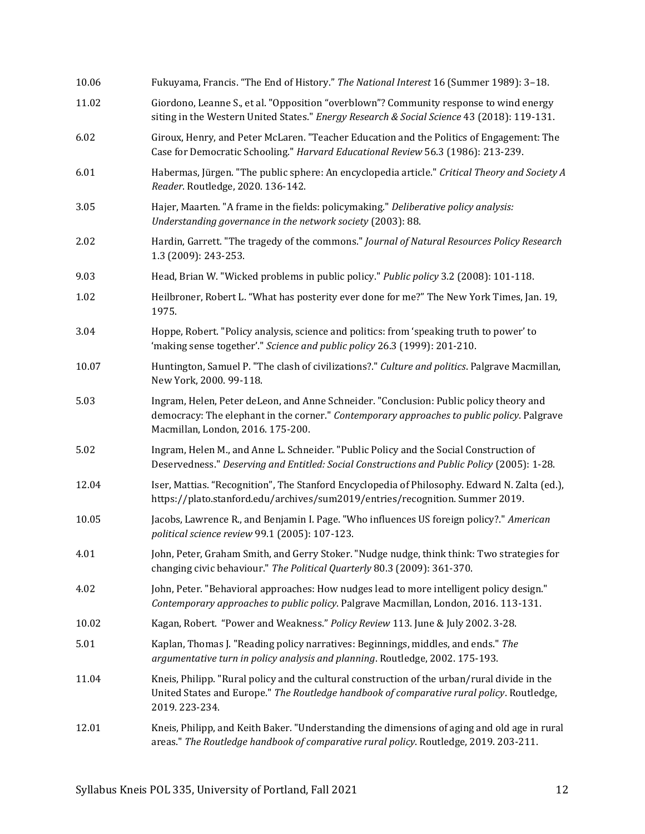| 10.06 | Fukuyama, Francis. "The End of History." The National Interest 16 (Summer 1989): 3-18.                                                                                                                                    |  |
|-------|---------------------------------------------------------------------------------------------------------------------------------------------------------------------------------------------------------------------------|--|
| 11.02 | Giordono, Leanne S., et al. "Opposition "overblown"? Community response to wind energy<br>siting in the Western United States." Energy Research & Social Science 43 (2018): 119-131.                                      |  |
| 6.02  | Giroux, Henry, and Peter McLaren. "Teacher Education and the Politics of Engagement: The<br>Case for Democratic Schooling." Harvard Educational Review 56.3 (1986): 213-239.                                              |  |
| 6.01  | Habermas, Jürgen. "The public sphere: An encyclopedia article." Critical Theory and Society A<br>Reader. Routledge, 2020. 136-142.                                                                                        |  |
| 3.05  | Hajer, Maarten. "A frame in the fields: policymaking." Deliberative policy analysis:<br>Understanding governance in the network society (2003): 88.                                                                       |  |
| 2.02  | Hardin, Garrett. "The tragedy of the commons." Journal of Natural Resources Policy Research<br>1.3 (2009): 243-253.                                                                                                       |  |
| 9.03  | Head, Brian W. "Wicked problems in public policy." Public policy 3.2 (2008): 101-118.                                                                                                                                     |  |
| 1.02  | Heilbroner, Robert L. "What has posterity ever done for me?" The New York Times, Jan. 19,<br>1975.                                                                                                                        |  |
| 3.04  | Hoppe, Robert. "Policy analysis, science and politics: from 'speaking truth to power' to<br>'making sense together'." Science and public policy 26.3 (1999): 201-210.                                                     |  |
| 10.07 | Huntington, Samuel P. "The clash of civilizations?." Culture and politics. Palgrave Macmillan,<br>New York, 2000. 99-118.                                                                                                 |  |
| 5.03  | Ingram, Helen, Peter deLeon, and Anne Schneider. "Conclusion: Public policy theory and<br>democracy: The elephant in the corner." Contemporary approaches to public policy. Palgrave<br>Macmillan, London, 2016. 175-200. |  |
| 5.02  | Ingram, Helen M., and Anne L. Schneider. "Public Policy and the Social Construction of<br>Deservedness." Deserving and Entitled: Social Constructions and Public Policy (2005): 1-28.                                     |  |
| 12.04 | Iser, Mattias. "Recognition", The Stanford Encyclopedia of Philosophy. Edward N. Zalta (ed.),<br>https://plato.stanford.edu/archives/sum2019/entries/recognition. Summer 2019.                                            |  |
| 10.05 | Jacobs, Lawrence R., and Benjamin I. Page. "Who influences US foreign policy?." American<br>political science review 99.1 (2005): 107-123.                                                                                |  |
| 4.01  | John, Peter, Graham Smith, and Gerry Stoker. "Nudge nudge, think think: Two strategies for<br>changing civic behaviour." The Political Quarterly 80.3 (2009): 361-370.                                                    |  |
| 4.02  | John, Peter. "Behavioral approaches: How nudges lead to more intelligent policy design."<br>Contemporary approaches to public policy. Palgrave Macmillan, London, 2016. 113-131.                                          |  |
| 10.02 | Kagan, Robert. "Power and Weakness." Policy Review 113. June & July 2002. 3-28.                                                                                                                                           |  |
| 5.01  | Kaplan, Thomas J. "Reading policy narratives: Beginnings, middles, and ends." The<br>argumentative turn in policy analysis and planning. Routledge, 2002. 175-193.                                                        |  |
| 11.04 | Kneis, Philipp. "Rural policy and the cultural construction of the urban/rural divide in the<br>United States and Europe." The Routledge handbook of comparative rural policy. Routledge,<br>2019.223-234.                |  |
| 12.01 | Kneis, Philipp, and Keith Baker. "Understanding the dimensions of aging and old age in rural<br>areas." The Routledge handbook of comparative rural policy. Routledge, 2019. 203-211.                                     |  |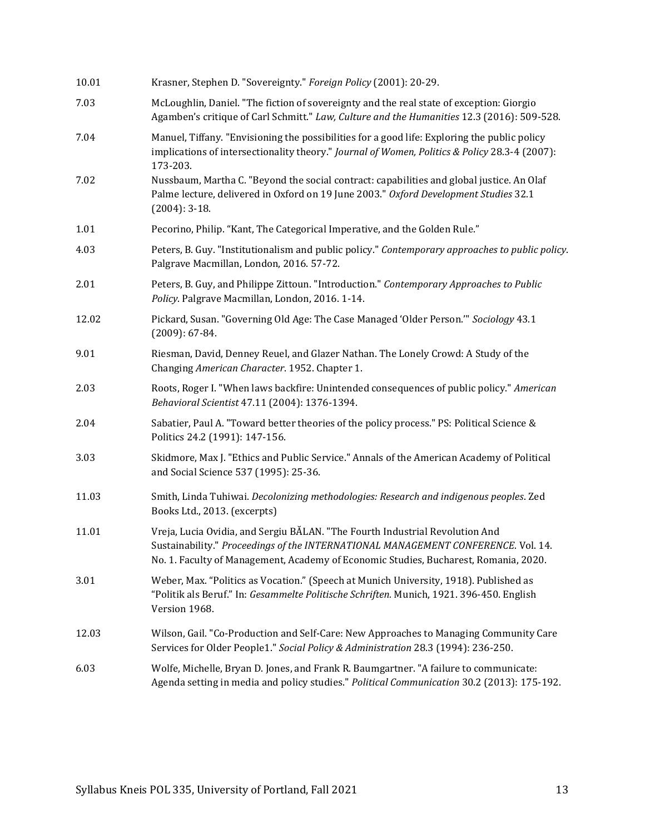| 10.01 | Krasner, Stephen D. "Sovereignty." Foreign Policy (2001): 20-29.                                                                                                                                                                                          |  |  |  |  |
|-------|-----------------------------------------------------------------------------------------------------------------------------------------------------------------------------------------------------------------------------------------------------------|--|--|--|--|
| 7.03  | McLoughlin, Daniel. "The fiction of sovereignty and the real state of exception: Giorgio<br>Agamben's critique of Carl Schmitt." Law, Culture and the Humanities 12.3 (2016): 509-528.                                                                    |  |  |  |  |
| 7.04  | Manuel, Tiffany. "Envisioning the possibilities for a good life: Exploring the public policy<br>implications of intersectionality theory." Journal of Women, Politics & Policy 28.3-4 (2007):<br>173-203.                                                 |  |  |  |  |
| 7.02  | Nussbaum, Martha C. "Beyond the social contract: capabilities and global justice. An Olaf<br>Palme lecture, delivered in Oxford on 19 June 2003." Oxford Development Studies 32.1<br>$(2004): 3-18.$                                                      |  |  |  |  |
| 1.01  | Pecorino, Philip. "Kant, The Categorical Imperative, and the Golden Rule."                                                                                                                                                                                |  |  |  |  |
| 4.03  | Peters, B. Guy. "Institutionalism and public policy." Contemporary approaches to public policy.<br>Palgrave Macmillan, London, 2016. 57-72.                                                                                                               |  |  |  |  |
| 2.01  | Peters, B. Guy, and Philippe Zittoun. "Introduction." Contemporary Approaches to Public<br>Policy. Palgrave Macmillan, London, 2016. 1-14.                                                                                                                |  |  |  |  |
| 12.02 | Pickard, Susan. "Governing Old Age: The Case Managed 'Older Person." Sociology 43.1<br>$(2009): 67-84.$                                                                                                                                                   |  |  |  |  |
| 9.01  | Riesman, David, Denney Reuel, and Glazer Nathan. The Lonely Crowd: A Study of the<br>Changing American Character. 1952. Chapter 1.                                                                                                                        |  |  |  |  |
| 2.03  | Roots, Roger I. "When laws backfire: Unintended consequences of public policy." American<br>Behavioral Scientist 47.11 (2004): 1376-1394.                                                                                                                 |  |  |  |  |
| 2.04  | Sabatier, Paul A. "Toward better theories of the policy process." PS: Political Science &<br>Politics 24.2 (1991): 147-156.                                                                                                                               |  |  |  |  |
| 3.03  | Skidmore, Max J. "Ethics and Public Service." Annals of the American Academy of Political<br>and Social Science 537 (1995): 25-36.                                                                                                                        |  |  |  |  |
| 11.03 | Smith, Linda Tuhiwai. Decolonizing methodologies: Research and indigenous peoples. Zed<br>Books Ltd., 2013. (excerpts)                                                                                                                                    |  |  |  |  |
| 11.01 | Vreja, Lucia Ovidia, and Sergiu BĂLAN. "The Fourth Industrial Revolution And<br>Sustainability." Proceedings of the INTERNATIONAL MANAGEMENT CONFERENCE, Vol. 14.<br>No. 1. Faculty of Management, Academy of Economic Studies, Bucharest, Romania, 2020. |  |  |  |  |
| 3.01  | Weber, Max. "Politics as Vocation." (Speech at Munich University, 1918). Published as<br>"Politik als Beruf." In: Gesammelte Politische Schriften. Munich, 1921. 396-450. English<br>Version 1968.                                                        |  |  |  |  |
| 12.03 | Wilson, Gail. "Co-Production and Self-Care: New Approaches to Managing Community Care<br>Services for Older People1." Social Policy & Administration 28.3 (1994): 236-250.                                                                                |  |  |  |  |
| 6.03  | Wolfe, Michelle, Bryan D. Jones, and Frank R. Baumgartner. "A failure to communicate:<br>Agenda setting in media and policy studies." Political Communication 30.2 (2013): 175-192.                                                                       |  |  |  |  |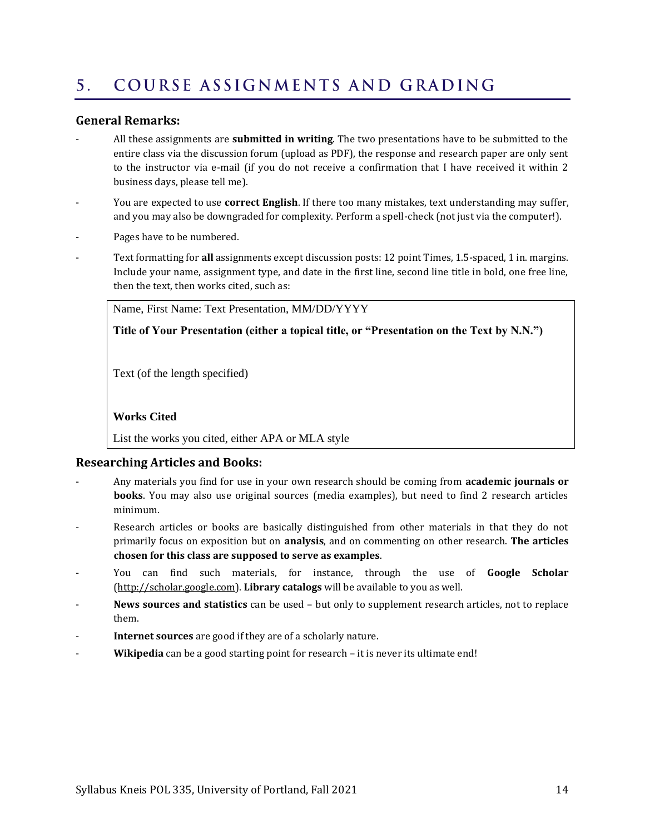#### <span id="page-13-0"></span>COURSE ASSIGNMENTS AND GRADING  $5<sub>1</sub>$

# **General Remarks:**

- All these assignments are **submitted in writing**. The two presentations have to be submitted to the entire class via the discussion forum (upload as PDF), the response and research paper are only sent to the instructor via e-mail (if you do not receive a confirmation that I have received it within 2 business days, please tell me).
- You are expected to use **correct English**. If there too many mistakes, text understanding may suffer, and you may also be downgraded for complexity. Perform a spell-check (not just via the computer!).
- Pages have to be numbered.
- Text formatting for **all** assignments except discussion posts: 12 point Times, 1.5-spaced, 1 in. margins. Include your name, assignment type, and date in the first line, second line title in bold, one free line, then the text, then works cited, such as:

Name, First Name: Text Presentation, MM/DD/YYYY

**Title of Your Presentation (either a topical title, or "Presentation on the Text by N.N.")**

Text (of the length specified)

# **Works Cited**

List the works you cited, either APA or MLA style

# **Researching Articles and Books:**

- Any materials you find for use in your own research should be coming from **academic journals or books**. You may also use original sources (media examples), but need to find 2 research articles minimum.
- Research articles or books are basically distinguished from other materials in that they do not primarily focus on exposition but on **analysis**, and on commenting on other research. **The articles chosen for this class are supposed to serve as examples**.
- You can find such materials, for instance, through the use of **Google Scholar** [\(http://scholar.google.com\)](http://scholar.google.com/). **Library catalogs** will be available to you as well.
- **News sources and statistics** can be used but only to supplement research articles, not to replace them.
- Internet sources are good if they are of a scholarly nature.
- Wikipedia can be a good starting point for research it is never its ultimate end!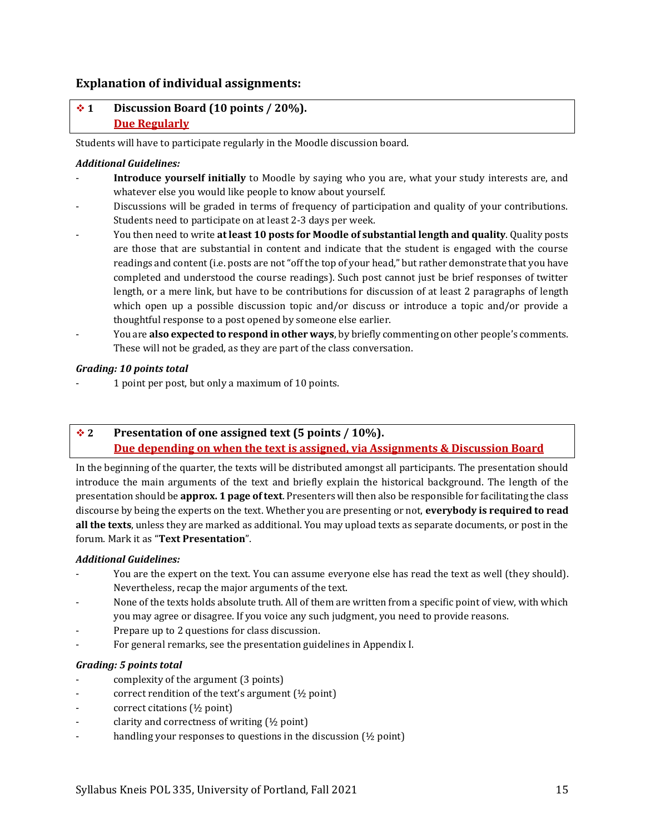# **Explanation of individual assignments:**

# ❖ **1 Discussion Board (10 points / 20%). Due Regularly**

Students will have to participate regularly in the Moodle discussion board.

## *Additional Guidelines:*

- Introduce yourself initially to Moodle by saying who you are, what your study interests are, and whatever else you would like people to know about yourself.
- Discussions will be graded in terms of frequency of participation and quality of your contributions. Students need to participate on at least 2-3 days per week.
- You then need to write **at least 10 posts for Moodle of substantial length and quality**. Quality posts are those that are substantial in content and indicate that the student is engaged with the course readings and content (i.e. posts are not "off the top of your head," but rather demonstrate that you have completed and understood the course readings). Such post cannot just be brief responses of twitter length, or a mere link, but have to be contributions for discussion of at least 2 paragraphs of length which open up a possible discussion topic and/or discuss or introduce a topic and/or provide a thoughtful response to a post opened by someone else earlier.
- You are **also expected to respond in other ways**, by briefly commenting on other people's comments. These will not be graded, as they are part of the class conversation.

### *Grading: 10 points total*

- 1 point per post, but only a maximum of 10 points.

# ❖ **2 Presentation of one assigned text (5 points / 10%). Due depending on when the text is assigned, via Assignments & Discussion Board**

In the beginning of the quarter, the texts will be distributed amongst all participants. The presentation should introduce the main arguments of the text and briefly explain the historical background. The length of the presentation should be **approx. 1 page of text**. Presenters will then also be responsible for facilitating the class discourse by being the experts on the text. Whether you are presenting or not, **everybody is required to read all the texts**, unless they are marked as additional. You may upload texts as separate documents, or post in the forum. Mark it as "**Text Presentation**".

#### *Additional Guidelines:*

- You are the expert on the text. You can assume everyone else has read the text as well (they should). Nevertheless, recap the major arguments of the text.
- None of the texts holds absolute truth. All of them are written from a specific point of view, with which you may agree or disagree. If you voice any such judgment, you need to provide reasons.
- Prepare up to 2 questions for class discussion.
- For general remarks, see the presentation guidelines in Appendix I.

#### *Grading: 5 points total*

- complexity of the argument (3 points)
- correct rendition of the text's argument (½ point)
- correct citations (½ point)
- clarity and correctness of writing  $(\frac{1}{2}$  point)
- handling your responses to questions in the discussion  $(1/2)$  point)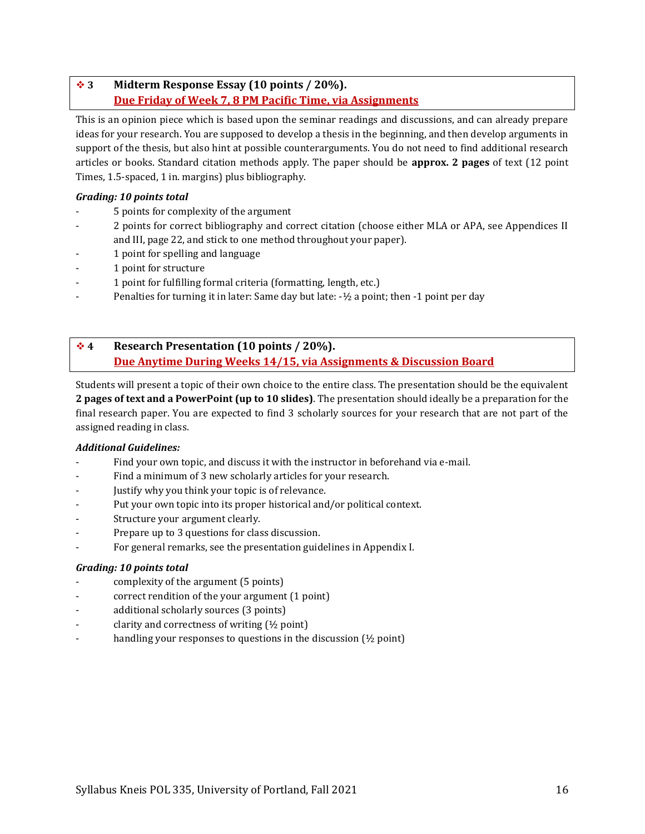# ❖ **3 Midterm Response Essay (10 points / 20%). Due Friday of Week 7, 8 PM Pacific Time, via Assignments**

This is an opinion piece which is based upon the seminar readings and discussions, and can already prepare ideas for your research. You are supposed to develop a thesis in the beginning, and then develop arguments in support of the thesis, but also hint at possible counterarguments. You do not need to find additional research articles or books. Standard citation methods apply. The paper should be **approx. 2 pages** of text (12 point Times, 1.5-spaced, 1 in. margins) plus bibliography.

# *Grading: 10 points total*

- 5 points for complexity of the argument
- 2 points for correct bibliography and correct citation (choose either MLA or APA, see Appendices II and III, pag[e 22,](#page-21-0) and stick to one method throughout your paper).
- 1 point for spelling and language
- 1 point for structure
- 1 point for fulfilling formal criteria (formatting, length, etc.)
- Penalties for turning it in later: Same day but late: -½ a point; then -1 point per day

# ❖ **4 Research Presentation (10 points / 20%). Due Anytime During Weeks 14/15, via Assignments & Discussion Board**

Students will present a topic of their own choice to the entire class. The presentation should be the equivalent **2 pages of text and a PowerPoint (up to 10 slides)**. The presentation should ideally be a preparation for the final research paper. You are expected to find 3 scholarly sources for your research that are not part of the assigned reading in class.

# *Additional Guidelines:*

- Find your own topic, and discuss it with the instructor in beforehand via e-mail.
- Find a minimum of 3 new scholarly articles for your research.
- Justify why you think your topic is of relevance.
- Put your own topic into its proper historical and/or political context.
- Structure your argument clearly.
- Prepare up to 3 questions for class discussion.
- For general remarks, see the presentation guidelines in Appendix I.

# *Grading: 10 points total*

- complexity of the argument (5 points)
- correct rendition of the your argument (1 point)
- additional scholarly sources (3 points)
- clarity and correctness of writing  $(\frac{1}{2}$  point)
- handling your responses to questions in the discussion  $(½$  point)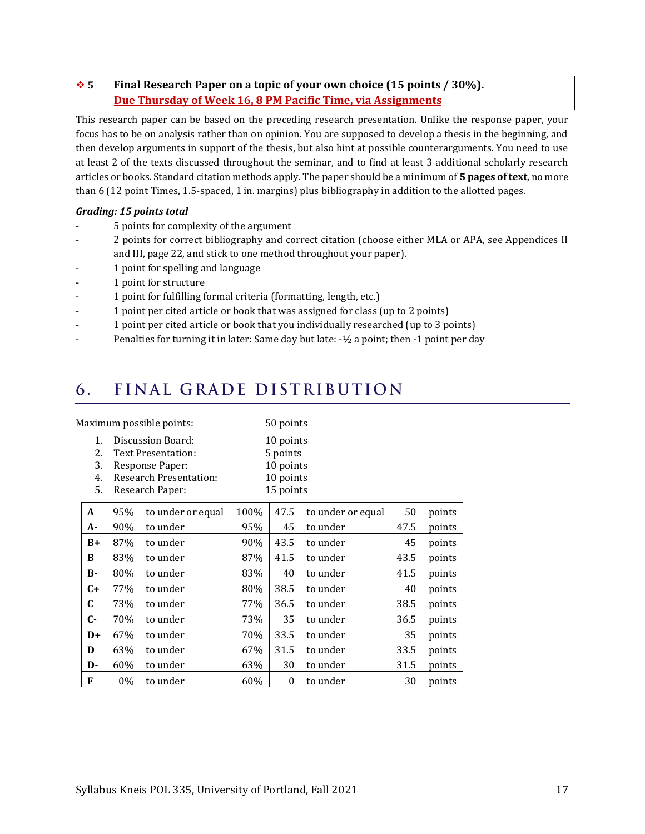# ❖ **5 Final Research Paper on a topic of your own choice (15 points / 30%). Due Thursday of Week 16, 8 PM Pacific Time, via Assignments**

This research paper can be based on the preceding research presentation. Unlike the response paper, your focus has to be on analysis rather than on opinion. You are supposed to develop a thesis in the beginning, and then develop arguments in support of the thesis, but also hint at possible counterarguments. You need to use at least 2 of the texts discussed throughout the seminar, and to find at least 3 additional scholarly research articles or books. Standard citation methods apply. The paper should be a minimum of **5 pages of text**, no more than 6 (12 point Times, 1.5-spaced, 1 in. margins) plus bibliography in addition to the allotted pages.

# *Grading: 15 points total*

- 5 points for complexity of the argument
- 2 points for correct bibliography and correct citation (choose either MLA or APA, see Appendices II and III, pag[e 22,](#page-21-0) and stick to one method throughout your paper).
- 1 point for spelling and language
- 1 point for structure
- 1 point for fulfilling formal criteria (formatting, length, etc.)
- 1 point per cited article or book that was assigned for class (up to 2 points)
- 1 point per cited article or book that you individually researched (up to 3 points)
- Penalties for turning it in later: Same day but late: -1/2 a point; then -1 point per day

#### <span id="page-16-0"></span>FINAL GRADE DISTRIBUTION 6.

| Maximum possible points:   |                                                                                                                |                   |                                                              | 50 points |                   |      |        |
|----------------------------|----------------------------------------------------------------------------------------------------------------|-------------------|--------------------------------------------------------------|-----------|-------------------|------|--------|
| 1.<br>2.<br>3.<br>4.<br>5. | Discussion Board:<br>Text Presentation:<br>Response Paper:<br><b>Research Presentation:</b><br>Research Paper: |                   | 10 points<br>5 points<br>10 points<br>10 points<br>15 points |           |                   |      |        |
| A                          | 95%                                                                                                            | to under or equal | 100%                                                         | 47.5      | to under or equal | 50   | points |
| A-                         | 90%                                                                                                            | to under          | 95%                                                          | 45        | to under          | 47.5 | points |
| $B+$                       | 87%                                                                                                            | to under          | 90%                                                          | 43.5      | to under          | 45   | points |
| B                          | 83%                                                                                                            | to under          | 87%                                                          | 41.5      | to under          | 43.5 | points |
| В-                         | 80%                                                                                                            | to under          | 83%                                                          | 40        | to under          | 41.5 | points |
| $C+$                       | 77%                                                                                                            | to under          | 80%                                                          | 38.5      | to under          | 40   | points |
| C                          | 73%                                                                                                            | to under          | 77%                                                          | 36.5      | to under          | 38.5 | points |
| C-                         | 70%                                                                                                            | to under          | 73%                                                          | 35        | to under          | 36.5 | points |
| $D+$                       | 67%                                                                                                            | to under          | 70%                                                          | 33.5      | to under          | 35   | points |
| D                          | 63%                                                                                                            | to under          | 67%                                                          | 31.5      | to under          | 33.5 | points |
| D-                         | 60%                                                                                                            | to under          | 63%                                                          | 30        | to under          | 31.5 | points |
| F                          | 0%                                                                                                             | to under          | 60%                                                          | 0         | to under          | 30   | points |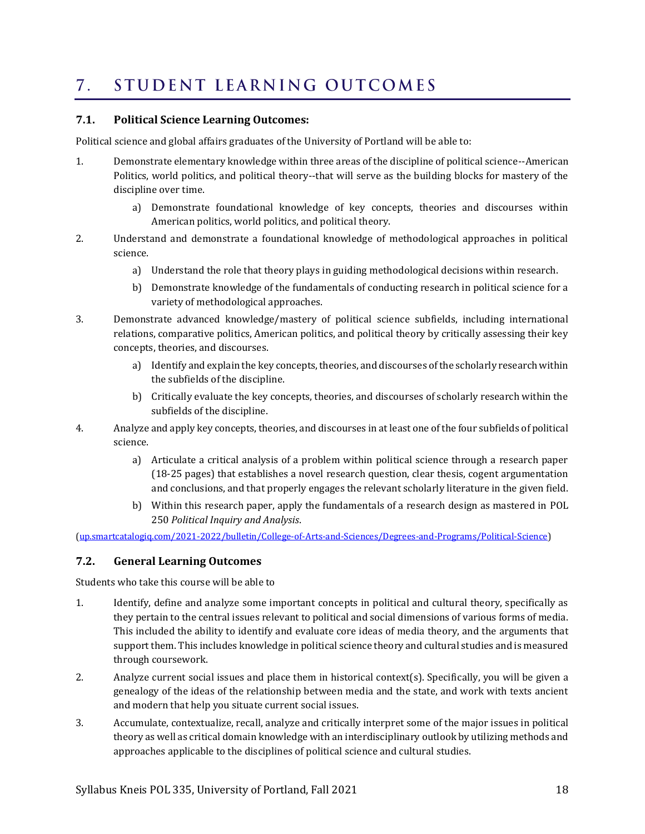#### <span id="page-17-0"></span>STUDENT LEARNING OUTCOMES  $7.$

# **7.1. Political Science Learning Outcomes:**

Political science and global affairs graduates of the University of Portland will be able to:

- 1. Demonstrate elementary knowledge within three areas of the discipline of political science--American Politics, world politics, and political theory--that will serve as the building blocks for mastery of the discipline over time.
	- a) Demonstrate foundational knowledge of key concepts, theories and discourses within American politics, world politics, and political theory.
- 2. Understand and demonstrate a foundational knowledge of methodological approaches in political science.
	- a) Understand the role that theory plays in guiding methodological decisions within research.
	- b) Demonstrate knowledge of the fundamentals of conducting research in political science for a variety of methodological approaches.
- 3. Demonstrate advanced knowledge/mastery of political science subfields, including international relations, comparative politics, American politics, and political theory by critically assessing their key concepts, theories, and discourses.
	- a) Identify and explain the key concepts, theories, and discourses of the scholarly research within the subfields of the discipline.
	- b) Critically evaluate the key concepts, theories, and discourses of scholarly research within the subfields of the discipline.
- 4. Analyze and apply key concepts, theories, and discourses in at least one of the four subfields of political science.
	- a) Articulate a critical analysis of a problem within political science through a research paper (18-25 pages) that establishes a novel research question, clear thesis, cogent argumentation and conclusions, and that properly engages the relevant scholarly literature in the given field.
	- b) Within this research paper, apply the fundamentals of a research design as mastered in [POL](http://up.smartcatalogiq.com/2021-2022/bulletin/Courses/POL-Political-Science/Introductory-Courses/POL-250)  [250](http://up.smartcatalogiq.com/2021-2022/bulletin/Courses/POL-Political-Science/Introductory-Courses/POL-250) *Political Inquiry and Analysis*.

[\(up.smartcatalogiq.com/2021-2022/bulletin/College-of-Arts-and-Sciences/Degrees-and-Programs/Political-Science\)](http://up.smartcatalogiq.com/2021-2022/bulletin/College-of-Arts-and-Sciences/Degrees-and-Programs/Political-Science)

# **7.2. General Learning Outcomes**

Students who take this course will be able to

- 1. Identify, define and analyze some important concepts in political and cultural theory, specifically as they pertain to the central issues relevant to political and social dimensions of various forms of media. This included the ability to identify and evaluate core ideas of media theory, and the arguments that support them. This includes knowledge in political science theory and cultural studies and is measured through coursework.
- 2. Analyze current social issues and place them in historical context(s). Specifically, you will be given a genealogy of the ideas of the relationship between media and the state, and work with texts ancient and modern that help you situate current social issues.
- 3. Accumulate, contextualize, recall, analyze and critically interpret some of the major issues in political theory as well as critical domain knowledge with an interdisciplinary outlook by utilizing methods and approaches applicable to the disciplines of political science and cultural studies.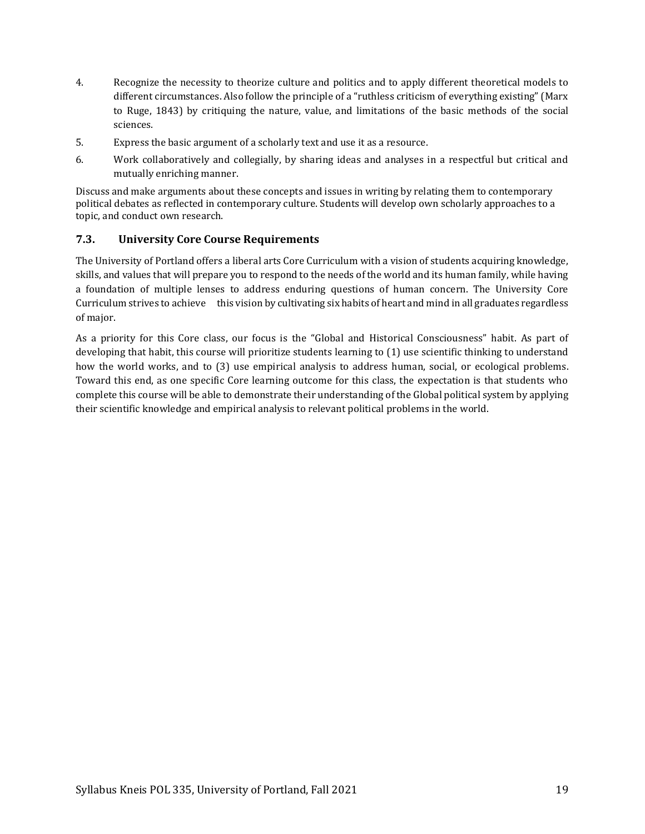- 4. Recognize the necessity to theorize culture and politics and to apply different theoretical models to different circumstances. Also follow the principle of a "ruthless criticism of everything existing" (Marx to Ruge, 1843) by critiquing the nature, value, and limitations of the basic methods of the social sciences.
- 5. Express the basic argument of a scholarly text and use it as a resource.
- 6. Work collaboratively and collegially, by sharing ideas and analyses in a respectful but critical and mutually enriching manner.

Discuss and make arguments about these concepts and issues in writing by relating them to contemporary political debates as reflected in contemporary culture. Students will develop own scholarly approaches to a topic, and conduct own research.

# **7.3. University Core Course Requirements**

The University of Portland offers a liberal arts Core Curriculum with a vision of students acquiring knowledge, skills, and values that will prepare you to respond to the needs of the world and its human family, while having a foundation of multiple lenses to address enduring questions of human concern. The University Core Curriculum strives to achieve this vision by cultivating six habits of heart and mind in all graduates regardless of major.

As a priority for this Core class, our focus is the "Global and Historical Consciousness" habit. As part of developing that habit, this course will prioritize students learning to (1) use scientific thinking to understand how the world works, and to (3) use empirical analysis to address human, social, or ecological problems. Toward this end, as one specific Core learning outcome for this class, the expectation is that students who complete this course will be able to demonstrate their understanding of the Global political system by applying their scientific knowledge and empirical analysis to relevant political problems in the world.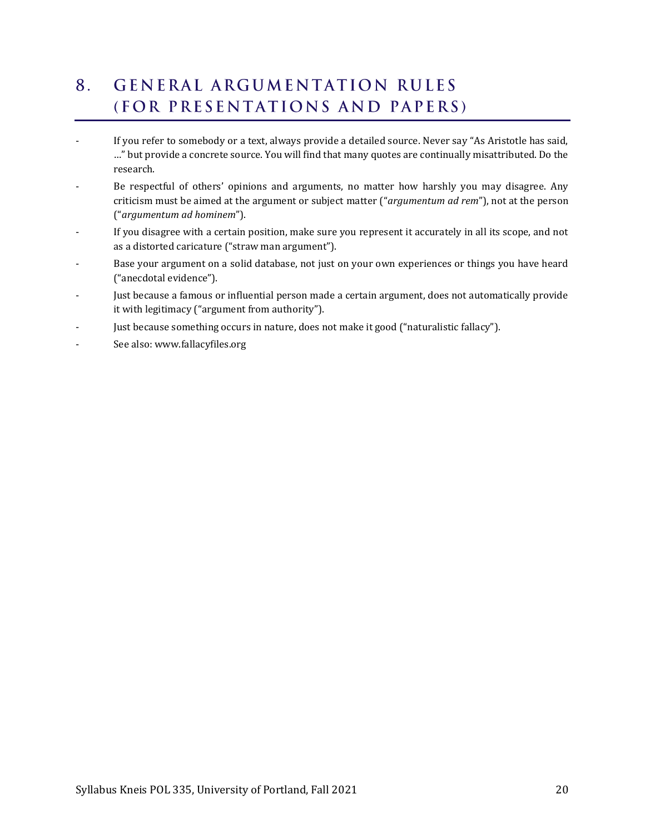# <span id="page-19-0"></span>**GENERAL ARGUMENTATION RULES**  $8<sub>1</sub>$ (FOR PRESENTATIONS AND PAPERS)

- If you refer to somebody or a text, always provide a detailed source. Never say "As Aristotle has said, …" but provide a concrete source. You will find that many quotes are continually misattributed. Do the research.
- Be respectful of others' opinions and arguments, no matter how harshly you may disagree. Any criticism must be aimed at the argument or subject matter ("*argumentum ad rem*"), not at the person ("*argumentum ad hominem*").
- If you disagree with a certain position, make sure you represent it accurately in all its scope, and not as a distorted caricature ("straw man argument").
- Base your argument on a solid database, not just on your own experiences or things you have heard ("anecdotal evidence").
- Just because a famous or influential person made a certain argument, does not automatically provide it with legitimacy ("argument from authority").
- Just because something occurs in nature, does not make it good ("naturalistic fallacy").
- See also: www.fallacyfiles.org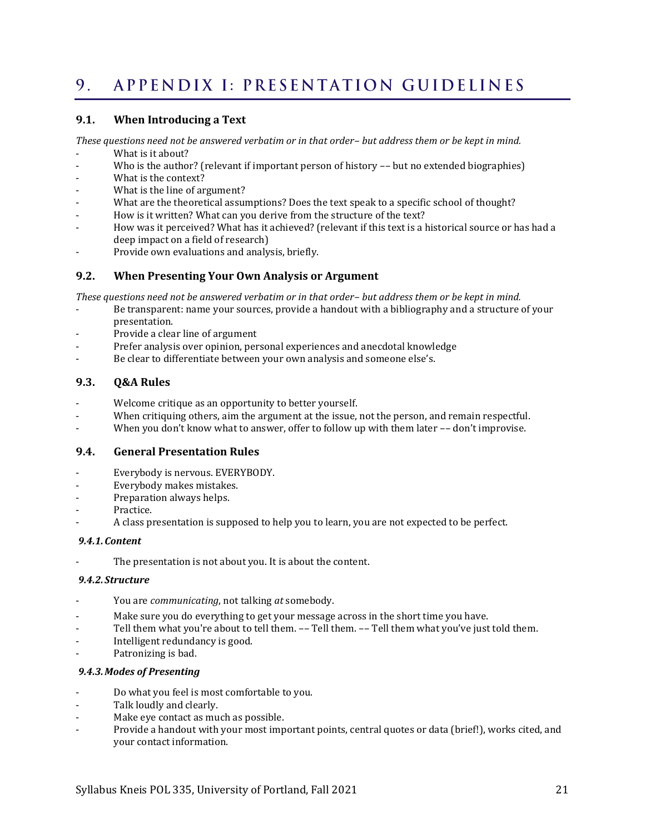#### <span id="page-20-0"></span>APPENDIX I: PRESENTATION GUIDELINES  $9<sub>1</sub>$

# **9.1. When Introducing a Text**

*These questions need not be answered verbatim or in that order– but address them or be kept in mind.*

- What is it about?
- Who is the author? (relevant if important person of history -- but no extended biographies)
- What is the context?
- What is the line of argument?
- What are the theoretical assumptions? Does the text speak to a specific school of thought?
- How is it written? What can you derive from the structure of the text?
- How was it perceived? What has it achieved? (relevant if this text is a historical source or has had a deep impact on a field of research)
- Provide own evaluations and analysis, briefly.

# **9.2. When Presenting Your Own Analysis or Argument**

*These questions need not be answered verbatim or in that order– but address them or be kept in mind.*

- Be transparent: name your sources, provide a handout with a bibliography and a structure of your presentation.
- Provide a clear line of argument
- Prefer analysis over opinion, personal experiences and anecdotal knowledge
- Be clear to differentiate between your own analysis and someone else's.

# **9.3. Q&A Rules**

- Welcome critique as an opportunity to better yourself.
- When critiquing others, aim the argument at the issue, not the person, and remain respectful.
- When you don't know what to answer, offer to follow up with them later -- don't improvise.

# **9.4. General Presentation Rules**

- Everybody is nervous. EVERYBODY.
- Everybody makes mistakes.
- Preparation always helps.
- Practice.
- A class presentation is supposed to help you to learn, you are not expected to be perfect.

#### *9.4.1.Content*

The presentation is not about you. It is about the content.

# *9.4.2. Structure*

- You are *communicating*, not talking *at* somebody.
- Make sure you do everything to get your message across in the short time you have.
- Tell them what you're about to tell them. -- Tell them. -- Tell them what you've just told them.
- Intelligent redundancy is good.
- Patronizing is bad.

### *9.4.3.Modes of Presenting*

- Do what you feel is most comfortable to you.
- Talk loudly and clearly.
- Make eye contact as much as possible.
- Provide a handout with your most important points, central quotes or data (brief!), works cited, and your contact information.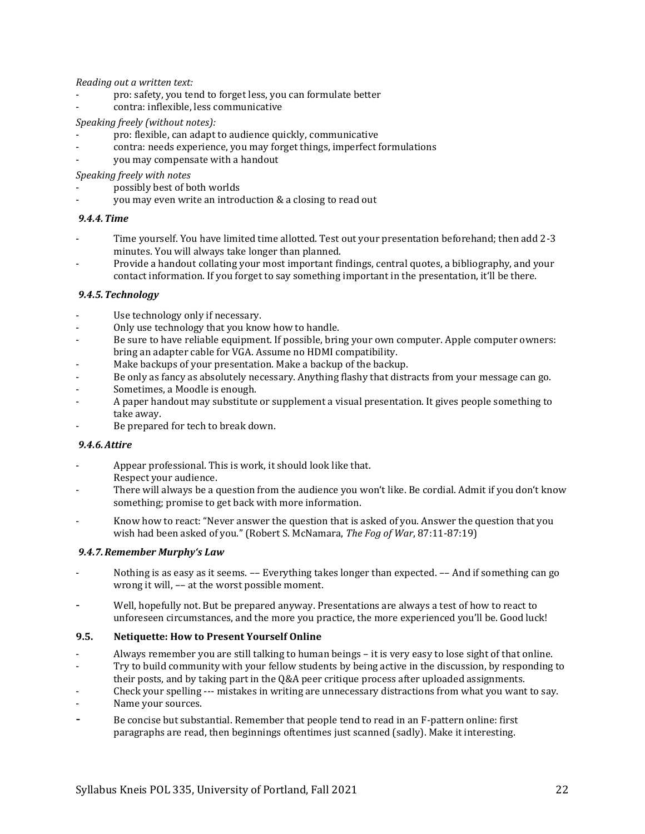*Reading out a written text:*

- pro: safety, you tend to forget less, you can formulate better
- contra: inflexible, less communicative

#### *Speaking freely (without notes):*

- pro: flexible, can adapt to audience quickly, communicative
- contra: needs experience, you may forget things, imperfect formulations
- you may compensate with a handout

*Speaking freely with notes*

- possibly best of both worlds
- you may even write an introduction & a closing to read out

### *9.4.4.Time*

- Time yourself. You have limited time allotted. Test out your presentation beforehand; then add 2-3 minutes. You will always take longer than planned.
- Provide a handout collating your most important findings, central quotes, a bibliography, and your contact information. If you forget to say something important in the presentation, it'll be there.

### *9.4.5.Technology*

- Use technology only if necessary.
- Only use technology that you know how to handle.
- Be sure to have reliable equipment. If possible, bring your own computer. Apple computer owners: bring an adapter cable for VGA. Assume no HDMI compatibility.
- Make backups of your presentation. Make a backup of the backup.
- Be only as fancy as absolutely necessary. Anything flashy that distracts from your message can go.
- Sometimes, a Moodle is enough.
- A paper handout may substitute or supplement a visual presentation. It gives people something to take away.
- Be prepared for tech to break down.

#### *9.4.6.Attire*

- Appear professional. This is work, it should look like that. Respect your audience.
- There will always be a question from the audience you won't like. Be cordial. Admit if you don't know something; promise to get back with more information.
- Know how to react: "Never answer the question that is asked of you. Answer the question that you wish had been asked of you." (Robert S. McNamara, *The Fog of War*, 87:11-87:19)

# *9.4.7.Remember Murphy's Law*

- Nothing is as easy as it seems. -- Everything takes longer than expected. -- And if something can go wrong it will, –– at the worst possible moment.
- Well, hopefully not. But be prepared anyway. Presentations are always a test of how to react to unforeseen circumstances, and the more you practice, the more experienced you'll be. Good luck!

#### **9.5. Netiquette: How to Present Yourself Online**

- Always remember you are still talking to human beings it is very easy to lose sight of that online.
- Try to build community with your fellow students by being active in the discussion, by responding to
- their posts, and by taking part in the Q&A peer critique process after uploaded assignments.
- Check your spelling --- mistakes in writing are unnecessary distractions from what you want to say.
- Name your sources.
- <span id="page-21-0"></span>Be concise but substantial. Remember that people tend to read in an F-pattern online: first paragraphs are read, then beginnings oftentimes just scanned (sadly). Make it interesting.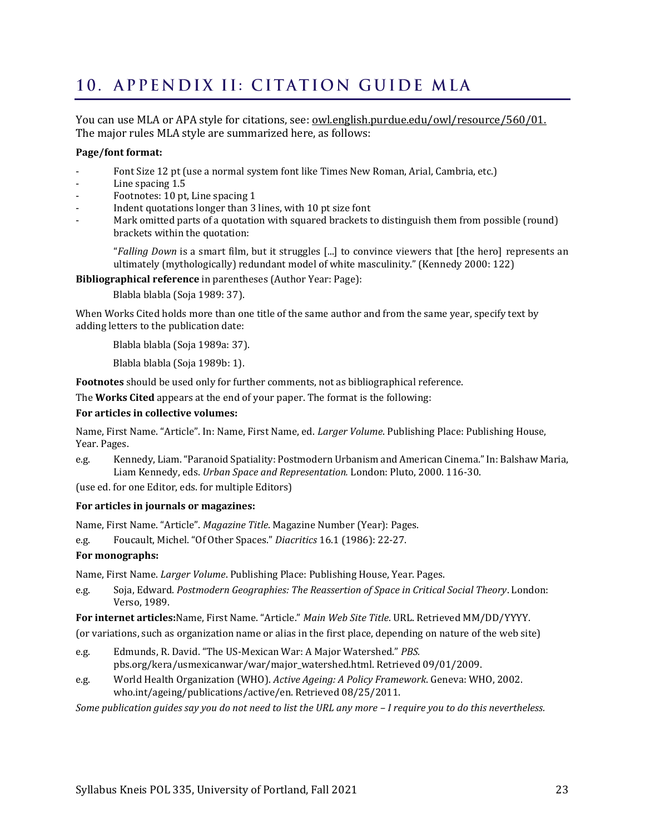# <span id="page-22-0"></span>10. APPENDIX II: CITATION GUIDE MLA

You can use MLA or APA style for citations, see: <u>owl.english.purdue.edu/owl/resource/560/01.</u> The major rules MLA style are summarized here, as follows:

### **Page/font format:**

- Font Size 12 pt (use a normal system font like Times New Roman, Arial, Cambria, etc.)
- Line spacing 1.5
- Footnotes: 10 pt, Line spacing 1
- Indent quotations longer than 3 lines, with 10 pt size font
- Mark omitted parts of a quotation with squared brackets to distinguish them from possible (round) brackets within the quotation:

"*Falling Down* is a smart film, but it struggles [...] to convince viewers that [the hero] represents an ultimately (mythologically) redundant model of white masculinity." (Kennedy 2000: 122)

**Bibliographical reference** in parentheses (Author Year: Page):

Blabla blabla (Soja 1989: 37).

When Works Cited holds more than one title of the same author and from the same year, specify text by adding letters to the publication date:

Blabla blabla (Soja 1989a: 37).

Blabla blabla (Soja 1989b: 1).

**Footnotes** should be used only for further comments, not as bibliographical reference.

The **Works Cited** appears at the end of your paper. The format is the following:

### **For articles in collective volumes:**

Name, First Name. "Article". In: Name, First Name, ed. *Larger Volume*. Publishing Place: Publishing House, Year. Pages.

e.g. Kennedy, Liam. "Paranoid Spatiality: Postmodern Urbanism and American Cinema." In: Balshaw Maria, Liam Kennedy, eds. *Urban Space and Representation.* London: Pluto, 2000. 116-30.

(use ed. for one Editor, eds. for multiple Editors)

#### **For articles in journals or magazines:**

Name, First Name. "Article". *Magazine Title*. Magazine Number (Year): Pages.

e.g. Foucault, Michel. "Of Other Spaces." *Diacritics* 16.1 (1986): 22-27.

# **For monographs:**

Name, First Name. *Larger Volume*. Publishing Place: Publishing House, Year. Pages.

e.g. Soja, Edward. *Postmodern Geographies: The Reassertion of Space in Critical Social Theory*. London: Verso, 1989.

**For internet articles:**Name, First Name. "Article." *Main Web Site Title*. URL. Retrieved MM/DD/YYYY.

(or variations, such as organization name or alias in the first place, depending on nature of the web site)

- e.g. Edmunds, R. David. "The US-Mexican War: A Major Watershed." *PBS.*  pbs.org/kera/usmexicanwar/war/major\_watershed.html. Retrieved 09/01/2009.
- e.g. World Health Organization (WHO). *Active Ageing: A Policy Framework*. Geneva: WHO, 2002. who.int/ageing/publications/active/en. Retrieved 08/25/2011.

*Some publication guides say you do not need to list the URL any more – I require you to do this nevertheless.*